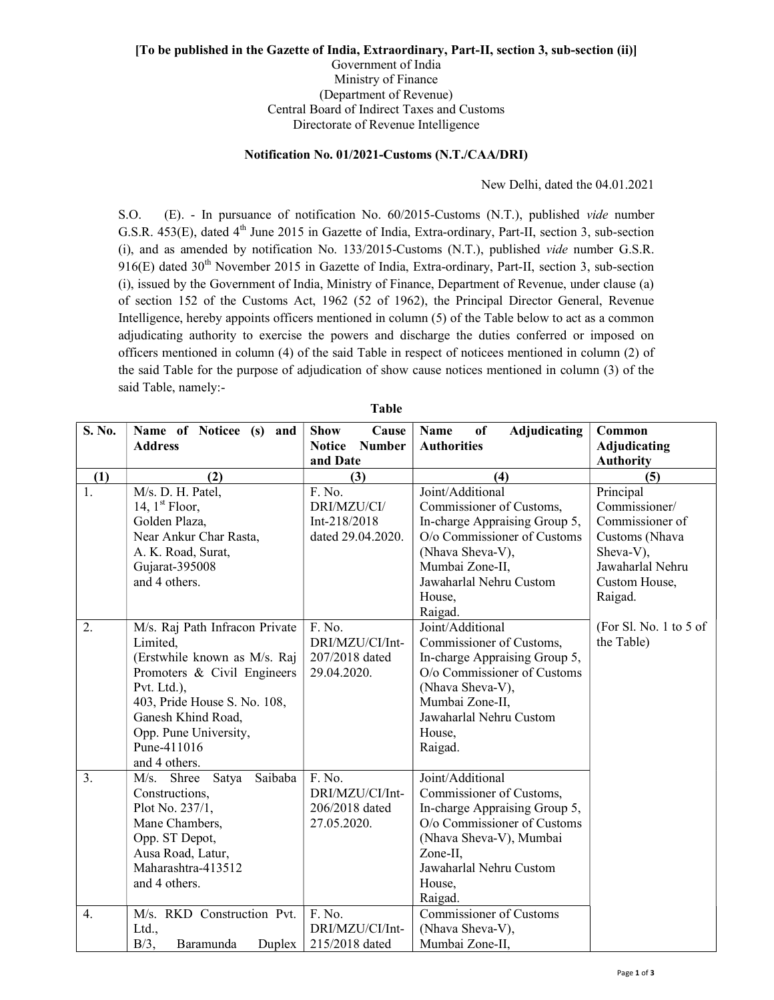## [To be published in the Gazette of India, Extraordinary, Part-II, section 3, sub-section (ii)] Government of India Ministry of Finance (Department of Revenue) Central Board of Indirect Taxes and Customs

Directorate of Revenue Intelligence

## Notification No. 01/2021-Customs (N.T./CAA/DRI)

New Delhi, dated the 04.01.2021

S.O. (E). - In pursuance of notification No. 60/2015-Customs (N.T.), published vide number G.S.R. 453(E), dated 4<sup>th</sup> June 2015 in Gazette of India, Extra-ordinary, Part-II, section 3, sub-section (i), and as amended by notification No. 133/2015-Customs (N.T.), published vide number G.S.R.  $916(E)$  dated  $30<sup>th</sup>$  November 2015 in Gazette of India, Extra-ordinary, Part-II, section 3, sub-section (i), issued by the Government of India, Ministry of Finance, Department of Revenue, under clause (a) of section 152 of the Customs Act, 1962 (52 of 1962), the Principal Director General, Revenue Intelligence, hereby appoints officers mentioned in column (5) of the Table below to act as a common adjudicating authority to exercise the powers and discharge the duties conferred or imposed on officers mentioned in column (4) of the said Table in respect of noticees mentioned in column (2) of the said Table for the purpose of adjudication of show cause notices mentioned in column (3) of the said Table, namely:-

| S. No.           | Name of Noticee (s) and                                                                                                                                                                                                                 | <b>Show</b><br>Cause                                       | <b>Adjudicating</b><br>Name<br>of                                                                                                                                                                   | Common                                                                                                                       |
|------------------|-----------------------------------------------------------------------------------------------------------------------------------------------------------------------------------------------------------------------------------------|------------------------------------------------------------|-----------------------------------------------------------------------------------------------------------------------------------------------------------------------------------------------------|------------------------------------------------------------------------------------------------------------------------------|
|                  | <b>Address</b>                                                                                                                                                                                                                          | <b>Notice</b><br><b>Number</b><br>and Date                 | <b>Authorities</b>                                                                                                                                                                                  | Adjudicating<br><b>Authority</b>                                                                                             |
| (1)              | (2)                                                                                                                                                                                                                                     | (3)                                                        | (4)                                                                                                                                                                                                 | (5)                                                                                                                          |
| 1.               | M/s. D. H. Patel,<br>14, $1st$ Floor,<br>Golden Plaza,<br>Near Ankur Char Rasta,<br>A. K. Road, Surat,<br>Gujarat-395008<br>and 4 others.                                                                                               | F. No.<br>DRI/MZU/CI/<br>Int-218/2018<br>dated 29.04.2020. | Joint/Additional<br>Commissioner of Customs,<br>In-charge Appraising Group 5,<br>O/o Commissioner of Customs<br>(Nhava Sheva-V),<br>Mumbai Zone-II,<br>Jawaharlal Nehru Custom<br>House,<br>Raigad. | Principal<br>Commissioner/<br>Commissioner of<br>Customs (Nhava<br>Sheva-V),<br>Jawaharlal Nehru<br>Custom House,<br>Raigad. |
| 2.               | M/s. Raj Path Infracon Private<br>Limited.<br>(Erstwhile known as M/s. Raj<br>Promoters & Civil Engineers<br>Pvt. Ltd.),<br>403, Pride House S. No. 108,<br>Ganesh Khind Road,<br>Opp. Pune University,<br>Pune-411016<br>and 4 others. | F. No.<br>DRI/MZU/CI/Int-<br>207/2018 dated<br>29.04.2020. | Joint/Additional<br>Commissioner of Customs,<br>In-charge Appraising Group 5,<br>O/o Commissioner of Customs<br>(Nhava Sheva-V),<br>Mumbai Zone-II,<br>Jawaharlal Nehru Custom<br>House,<br>Raigad. | (For Sl. No. 1 to 5 of<br>the Table)                                                                                         |
| 3.               | Saibaba<br>M/s. Shree<br>Satya<br>Constructions,<br>Plot No. 237/1,<br>Mane Chambers,<br>Opp. ST Depot,<br>Ausa Road, Latur,<br>Maharashtra-413512<br>and 4 others.                                                                     | F. No.<br>DRI/MZU/CI/Int-<br>206/2018 dated<br>27.05.2020. | Joint/Additional<br>Commissioner of Customs,<br>In-charge Appraising Group 5,<br>O/o Commissioner of Customs<br>(Nhava Sheva-V), Mumbai<br>Zone-II,<br>Jawaharlal Nehru Custom<br>House,<br>Raigad. |                                                                                                                              |
| $\overline{4}$ . | M/s. RKD Construction Pvt.<br>Ltd.,<br>$B/3$ ,<br>Baramunda<br>Duplex                                                                                                                                                                   | F. No.<br>DRI/MZU/CI/Int-<br>215/2018 dated                | <b>Commissioner of Customs</b><br>(Nhava Sheva-V),<br>Mumbai Zone-II,                                                                                                                               |                                                                                                                              |

Table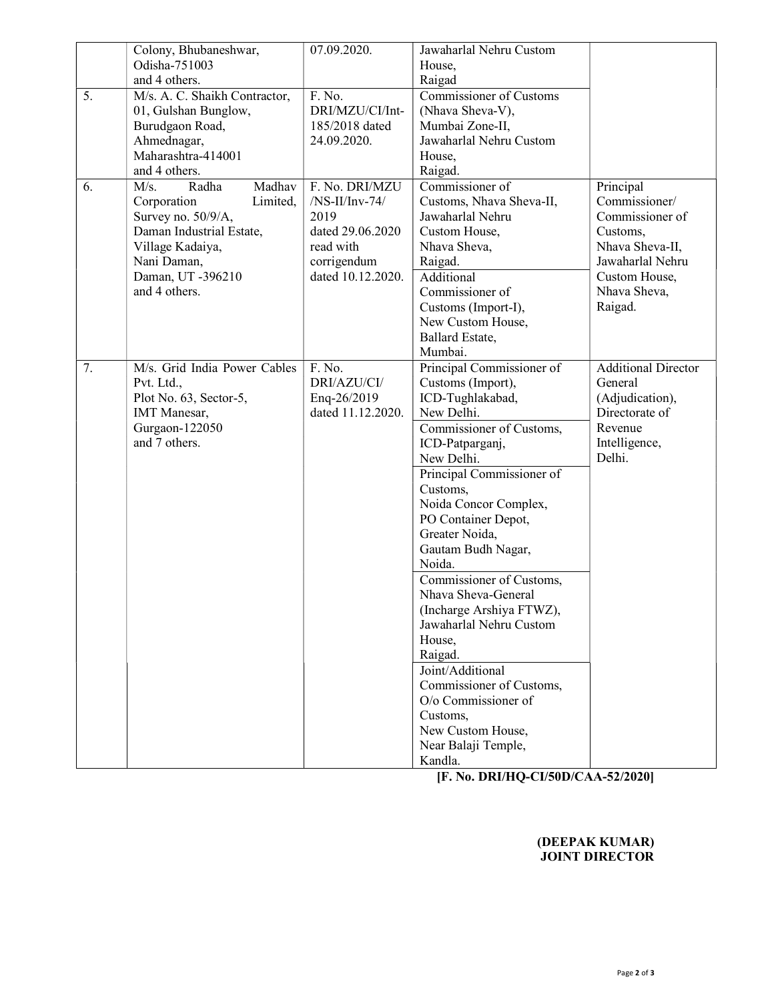|    | Colony, Bhubaneshwar,         | 07.09.2020.       | Jawaharlal Nehru Custom        |                            |
|----|-------------------------------|-------------------|--------------------------------|----------------------------|
|    | Odisha-751003                 |                   | House,                         |                            |
|    | and 4 others.                 |                   | Raigad                         |                            |
| 5. | M/s. A. C. Shaikh Contractor, | F. No.            | <b>Commissioner of Customs</b> |                            |
|    | 01, Gulshan Bunglow,          | DRI/MZU/CI/Int-   | (Nhava Sheva-V),               |                            |
|    | Burudgaon Road,               | 185/2018 dated    | Mumbai Zone-II,                |                            |
|    | Ahmednagar,                   | 24.09.2020.       | Jawaharlal Nehru Custom        |                            |
|    | Maharashtra-414001            |                   | House,                         |                            |
|    | and 4 others.                 |                   | Raigad.                        |                            |
| 6. | Madhav<br>M/s.<br>Radha       | F. No. DRI/MZU    | Commissioner of                | Principal                  |
|    | Corporation<br>Limited,       | $/NS-II/Inv-74/$  | Customs, Nhava Sheva-II,       | Commissioner/              |
|    | Survey no. 50/9/A,            | 2019              | Jawaharlal Nehru               | Commissioner of            |
|    | Daman Industrial Estate,      | dated 29.06.2020  | Custom House,                  | Customs,                   |
|    | Village Kadaiya,              | read with         | Nhava Sheva,                   | Nhava Sheva-II,            |
|    | Nani Daman,                   | corrigendum       | Raigad.                        | Jawaharlal Nehru           |
|    | Daman, UT -396210             | dated 10.12.2020. | Additional                     | Custom House,              |
|    | and 4 others.                 |                   | Commissioner of                | Nhava Sheva,               |
|    |                               |                   | Customs (Import-I),            | Raigad.                    |
|    |                               |                   | New Custom House,              |                            |
|    |                               |                   | Ballard Estate,                |                            |
|    |                               |                   | Mumbai.                        |                            |
| 7. | M/s. Grid India Power Cables  | F. No.            | Principal Commissioner of      | <b>Additional Director</b> |
|    | Pvt. Ltd.,                    | DRI/AZU/CI/       | Customs (Import),              | General                    |
|    | Plot No. 63, Sector-5,        | Enq-26/2019       | ICD-Tughlakabad,               | (Adjudication),            |
|    | <b>IMT</b> Manesar,           | dated 11.12.2020. | New Delhi.                     | Directorate of             |
|    | Gurgaon-122050                |                   | Commissioner of Customs,       | Revenue                    |
|    | and 7 others.                 |                   | ICD-Patparganj,                | Intelligence,              |
|    |                               |                   | New Delhi.                     | Delhi.                     |
|    |                               |                   | Principal Commissioner of      |                            |
|    |                               |                   | Customs,                       |                            |
|    |                               |                   | Noida Concor Complex,          |                            |
|    |                               |                   | PO Container Depot,            |                            |
|    |                               |                   | Greater Noida,                 |                            |
|    |                               |                   | Gautam Budh Nagar,             |                            |
|    |                               |                   | Noida.                         |                            |
|    |                               |                   | Commissioner of Customs,       |                            |
|    |                               |                   | Nhava Sheva-General            |                            |
|    |                               |                   | (Incharge Arshiya FTWZ),       |                            |
|    |                               |                   | Jawaharlal Nehru Custom        |                            |
|    |                               |                   | House,                         |                            |
|    |                               |                   | Raigad.                        |                            |
|    |                               |                   | Joint/Additional               |                            |
|    |                               |                   | Commissioner of Customs,       |                            |
|    |                               |                   | O/o Commissioner of            |                            |
|    |                               |                   | Customs,                       |                            |
|    |                               |                   | New Custom House,              |                            |
|    |                               |                   | Near Balaji Temple,            |                            |
|    |                               |                   | Kandla.                        |                            |
|    |                               |                   |                                |                            |

[F. No. DRI/HQ-CI/50D/CAA-52/2020]

## (DEEPAK KUMAR) JOINT DIRECTOR